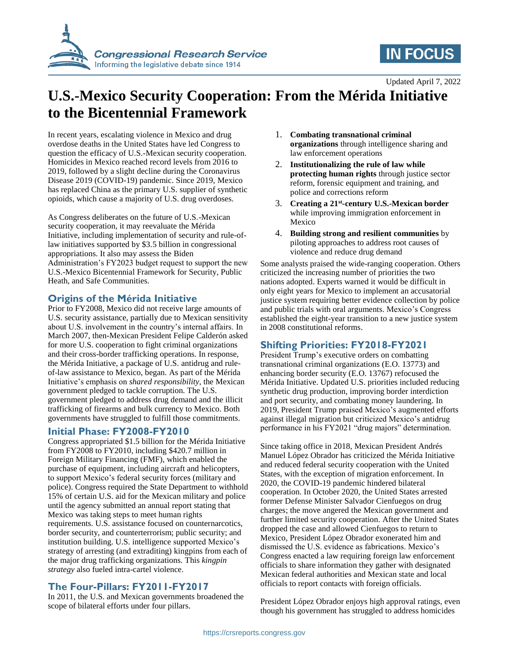

# **IN FOCUS**

Updated April 7, 2022

## **U.S.-Mexico Security Cooperation: From the Mérida Initiative to the Bicentennial Framework**

In recent years, escalating violence in Mexico and drug overdose deaths in the United States have led Congress to question the efficacy of U.S.-Mexican security cooperation. Homicides in Mexico reached record levels from 2016 to 2019, followed by a slight decline during the Coronavirus Disease 2019 (COVID-19) pandemic. Since 2019, Mexico has replaced China as the primary U.S. supplier of synthetic opioids, which cause a majority of U.S. drug overdoses.

As Congress deliberates on the future of U.S.-Mexican security cooperation, it may reevaluate the Mérida Initiative, including implementation of security and rule-oflaw initiatives supported by \$3.5 billion in congressional appropriations. It also may assess the Biden Administration's FY2023 budget request to support the new U.S.-Mexico Bicentennial Framework for Security, Public Heath, and Safe Communities.

#### **Origins of the Mérida Initiative**

Prior to FY2008, Mexico did not receive large amounts of U.S. security assistance, partially due to Mexican sensitivity about U.S. involvement in the country's internal affairs. In March 2007, then-Mexican President Felipe Calderón asked for more U.S. cooperation to fight criminal organizations and their cross-border trafficking operations. In response, the Mérida Initiative, a package of U.S. antidrug and ruleof-law assistance to Mexico, began. As part of the Mérida Initiative's emphasis on *shared responsibility*, the Mexican government pledged to tackle corruption. The U.S. government pledged to address drug demand and the illicit trafficking of firearms and bulk currency to Mexico. Both governments have struggled to fulfill those commitments.

### **Initial Phase: FY2008-FY2010**

Congress appropriated \$1.5 billion for the Mérida Initiative from FY2008 to FY2010, including \$420.7 million in Foreign Military Financing (FMF), which enabled the purchase of equipment, including aircraft and helicopters, to support Mexico's federal security forces (military and police). Congress required the State Department to withhold 15% of certain U.S. aid for the Mexican military and police until the agency submitted an annual report stating that Mexico was taking steps to meet human rights requirements. U.S. assistance focused on counternarcotics, border security, and counterterrorism; public security; and institution building. U.S. intelligence supported Mexico's strategy of arresting (and extraditing) kingpins from each of the major drug trafficking organizations. This *kingpin strategy* also fueled intra-cartel violence.

## **The Four-Pillars: FY2011-FY2017**

In 2011, the U.S. and Mexican governments broadened the scope of bilateral efforts under four pillars.

- 1. **Combating transnational criminal organizations** through intelligence sharing and law enforcement operations
- 2. **Institutionalizing the rule of law while protecting human rights** through justice sector reform, forensic equipment and training, and police and corrections reform
- 3. **Creating a 21st -century U.S.-Mexican border** while improving immigration enforcement in Mexico
- 4. **Building strong and resilient communities** by piloting approaches to address root causes of violence and reduce drug demand

Some analysts praised the wide-ranging cooperation. Others criticized the increasing number of priorities the two nations adopted. Experts warned it would be difficult in only eight years for Mexico to implement an accusatorial justice system requiring better evidence collection by police and public trials with oral arguments. Mexico's Congress established the eight-year transition to a new justice system in 2008 constitutional reforms.

## **Shifting Priorities: FY2018-FY2021**

President Trump's executive orders on combatting transnational criminal organizations (E.O. 13773) and enhancing border security (E.O. 13767) refocused the Mérida Initiative. Updated U.S. priorities included reducing synthetic drug production, improving border interdiction and port security, and combating money laundering. In 2019, President Trump praised Mexico's augmented efforts against illegal migration but criticized Mexico's antidrug performance in his FY2021 "drug majors" determination.

Since taking office in 2018, Mexican President Andrés Manuel López Obrador has criticized the Mérida Initiative and reduced federal security cooperation with the United States, with the exception of migration enforcement. In 2020, the COVID-19 pandemic hindered bilateral cooperation. In October 2020, the United States arrested former Defense Minister Salvador Cienfuegos on drug charges; the move angered the Mexican government and further limited security cooperation. After the United States dropped the case and allowed Cienfuegos to return to Mexico, President López Obrador exonerated him and dismissed the U.S. evidence as fabrications. Mexico's Congress enacted a law requiring foreign law enforcement officials to share information they gather with designated Mexican federal authorities and Mexican state and local officials to report contacts with foreign officials.

President López Obrador enjoys high approval ratings, even though his government has struggled to address homicides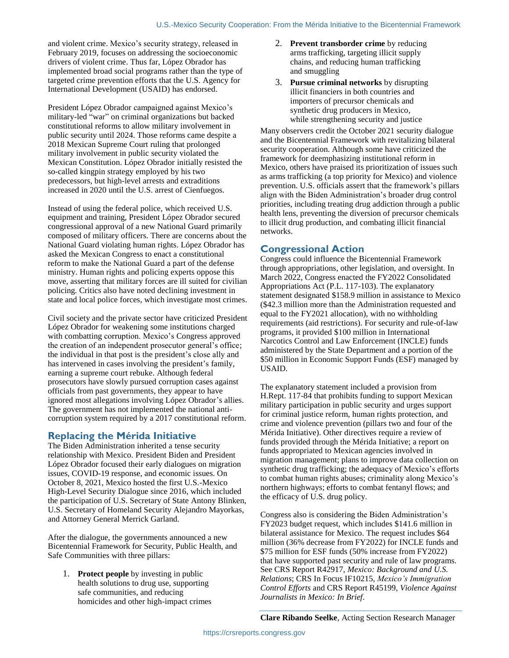and violent crime. Mexico's security strategy, released in February 2019, focuses on addressing the socioeconomic drivers of violent crime. Thus far, López Obrador has implemented broad social programs rather than the type of targeted crime prevention efforts that the U.S. Agency for International Development (USAID) has endorsed.

President López Obrador campaigned against Mexico's military-led "war" on criminal organizations but backed constitutional reforms to allow military involvement in public security until 2024. Those reforms came despite a 2018 Mexican Supreme Court ruling that prolonged military involvement in public security violated the Mexican Constitution. López Obrador initially resisted the so-called kingpin strategy employed by his two predecessors, but high-level arrests and extraditions increased in 2020 until the U.S. arrest of Cienfuegos.

Instead of using the federal police, which received U.S. equipment and training, President López Obrador secured congressional approval of a new National Guard primarily composed of military officers. There are concerns about the National Guard violating human rights. López Obrador has asked the Mexican Congress to enact a constitutional reform to make the National Guard a part of the defense ministry. Human rights and policing experts oppose this move, asserting that military forces are ill suited for civilian policing. Critics also have noted declining investment in state and local police forces, which investigate most crimes.

Civil society and the private sector have criticized President López Obrador for weakening some institutions charged with combatting corruption. Mexico's Congress approved the creation of an independent prosecutor general's office; the individual in that post is the president's close ally and has intervened in cases involving the president's family, earning a supreme court rebuke. Although federal prosecutors have slowly pursued corruption cases against officials from past governments, they appear to have ignored most allegations involving López Obrador's allies. The government has not implemented the national anticorruption system required by a 2017 constitutional reform.

### **Replacing the Mérida Initiative**

The Biden Administration inherited a tense security relationship with Mexico. President Biden and President López Obrador focused their early dialogues on migration issues, COVID-19 response, and economic issues. On October 8, 2021, Mexico hosted the first U.S.-Mexico High-Level Security Dialogue since 2016, which included the participation of U.S. Secretary of State Antony Blinken, U.S. Secretary of Homeland Security Alejandro Mayorkas, and Attorney General Merrick Garland.

After the dialogue, the governments announced a new Bicentennial Framework for Security, Public Health, and Safe Communities with three pillars:

1. **Protect people** by investing in public health solutions to drug use, supporting safe communities, and reducing homicides and other high-impact crimes

- 2. **Prevent transborder crime** by reducing arms trafficking, targeting illicit supply chains, and reducing human trafficking and smuggling
- 3. **Pursue criminal networks** by disrupting illicit financiers in both countries and importers of precursor chemicals and synthetic drug producers in Mexico, while strengthening security and justice

Many observers credit the October 2021 security dialogue and the Bicentennial Framework with revitalizing bilateral security cooperation. Although some have criticized the framework for deemphasizing institutional reform in Mexico, others have praised its prioritization of issues such as arms trafficking (a top priority for Mexico) and violence prevention. U.S. officials assert that the framework's pillars align with the Biden Administration's broader drug control priorities, including treating drug addiction through a public health lens, preventing the diversion of precursor chemicals to illicit drug production, and combating illicit financial networks.

### **Congressional Action**

Congress could influence the Bicentennial Framework through appropriations, other legislation, and oversight. In March 2022, Congress enacted the FY2022 Consolidated Appropriations Act (P.L. 117-103). The explanatory statement designated \$158.9 million in assistance to Mexico (\$42.3 million more than the Administration requested and equal to the FY2021 allocation), with no withholding requirements (aid restrictions). For security and rule-of-law programs, it provided \$100 million in International Narcotics Control and Law Enforcement (INCLE) funds administered by the State Department and a portion of the \$50 million in Economic Support Funds (ESF) managed by USAID.

The explanatory statement included a provision from H.Rept. 117-84 that prohibits funding to support Mexican military participation in public security and urges support for criminal justice reform, human rights protection, and crime and violence prevention (pillars two and four of the Mérida Initiative). Other directives require a review of funds provided through the Mérida Initiative; a report on funds appropriated to Mexican agencies involved in migration management; plans to improve data collection on synthetic drug trafficking; the adequacy of Mexico's efforts to combat human rights abuses; criminality along Mexico's northern highways; efforts to combat fentanyl flows; and the efficacy of U.S. drug policy.

Congress also is considering the Biden Administration's FY2023 budget request, which includes \$141.6 million in bilateral assistance for Mexico. The request includes \$64 million (36% decrease from FY2022) for INCLE funds and \$75 million for ESF funds (50% increase from FY2022) that have supported past security and rule of law programs. See CRS Report R42917, *Mexico: Background and U.S. Relations*; CRS In Focus IF10215, *Mexico's Immigration Control Efforts* and CRS Report R45199, *Violence Against Journalists in Mexico: In Brief*.

**Clare Ribando Seelke**, Acting Section Research Manager